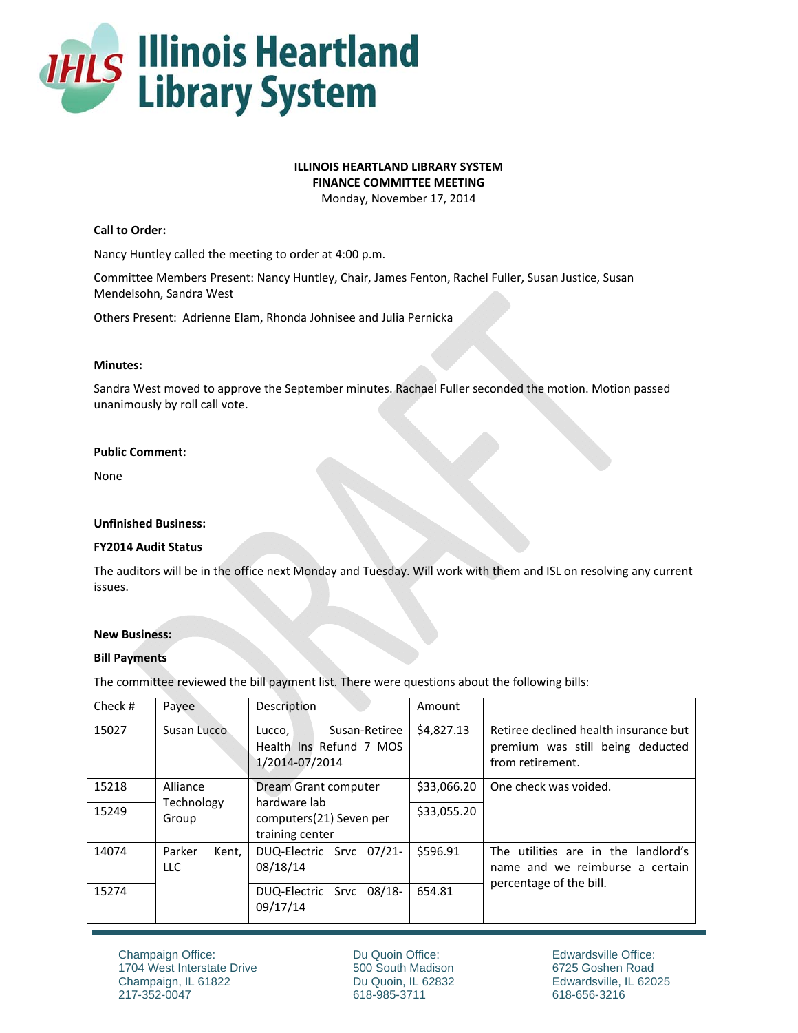

# **ILLINOIS HEARTLAND LIBRARY SYSTEM**

**FINANCE COMMITTEE MEETING**

Monday, November 17, 2014

# **Call to Order:**

Nancy Huntley called the meeting to order at 4:00 p.m.

Committee Members Present: Nancy Huntley, Chair, James Fenton, Rachel Fuller, Susan Justice, Susan Mendelsohn, Sandra West

Others Present: Adrienne Elam, Rhonda Johnisee and Julia Pernicka

#### **Minutes:**

Sandra West moved to approve the September minutes. Rachael Fuller seconded the motion. Motion passed unanimously by roll call vote.

#### **Public Comment:**

None

### **Unfinished Business:**

# **FY2014 Audit Status**

The auditors will be in the office next Monday and Tuesday. Will work with them and ISL on resolving any current issues.

# **New Business:**

# **Bill Payments**

The committee reviewed the bill payment list. There were questions about the following bills:

| Check # | Payee                           | Description                                                          | Amount      |                                                                                               |
|---------|---------------------------------|----------------------------------------------------------------------|-------------|-----------------------------------------------------------------------------------------------|
| 15027   | Susan Lucco                     | Susan-Retiree<br>Lucco,<br>Health Ins Refund 7 MOS<br>1/2014-07/2014 | \$4,827.13  | Retiree declined health insurance but<br>premium was still being deducted<br>from retirement. |
| 15218   | Alliance<br>Technology<br>Group | Dream Grant computer                                                 | \$33,066.20 | One check was voided.                                                                         |
| 15249   |                                 | hardware lab<br>computers(21) Seven per<br>training center           | \$33,055.20 |                                                                                               |
| 14074   | Parker<br>Kent.<br><b>LLC</b>   | DUQ-Electric Srvc 07/21-<br>08/18/14                                 | \$596.91    | The utilities are in the landlord's<br>name and we reimburse a certain                        |
| 15274   |                                 | DUQ-Electric Srvc 08/18-<br>09/17/14                                 | 654.81      | percentage of the bill.                                                                       |

Du Quoin Office: 500 South Madison Du Quoin, IL 62832 618-985-3711

Edwardsville Office: 6725 Goshen Road Edwardsville, IL 62025 618-656-3216